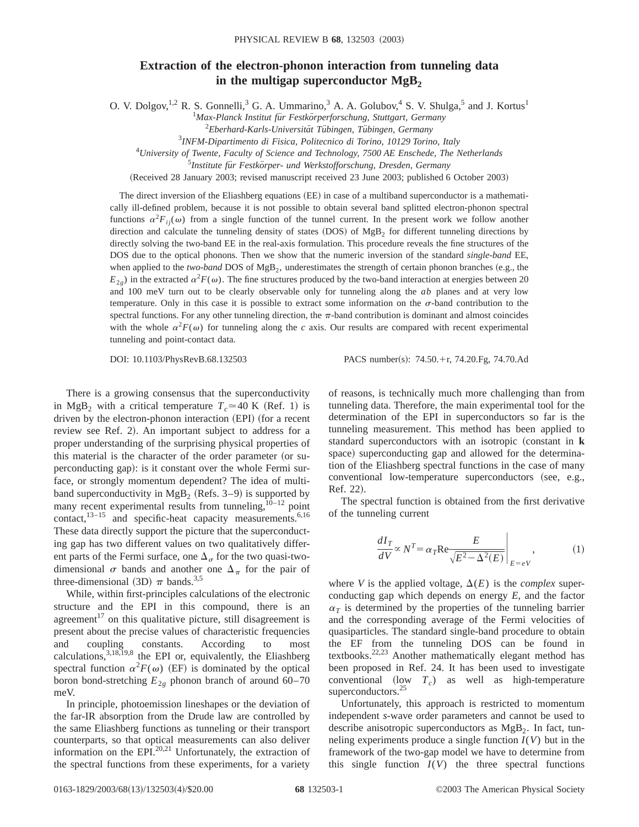## **Extraction of the electron-phonon interaction from tunneling data** in the multigap superconductor  $MgB<sub>2</sub>$

O. V. Dolgov,  $^{1,2}$  R. S. Gonnelli, <sup>3</sup> G. A. Ummarino, <sup>3</sup> A. A. Golubov, <sup>4</sup> S. V. Shulga, <sup>5</sup> and J. Kortus<sup>1</sup>

<sup>1</sup>Max-Planck Institut für Festkörperforschung, Stuttgart, Germany

<sup>2</sup>Eberhard-Karls-Universität Tübingen, Tübingen, Germany

3 *INFM-Dipartimento di Fisica, Politecnico di Torino, 10129 Torino, Italy*

4 *University of Twente, Faculty of Science and Technology, 7500 AE Enschede, The Netherlands*

<sup>5</sup>Institute für Festkörper- und Werkstofforschung, Dresden, Germany

(Received 28 January 2003; revised manuscript received 23 June 2003; published 6 October 2003)

The direct inversion of the Eliashberg equations (EE) in case of a multiband superconductor is a mathematically ill-defined problem, because it is not possible to obtain several band splitted electron-phonon spectral functions  $\alpha^2 F_{ii}(\omega)$  from a single function of the tunnel current. In the present work we follow another direction and calculate the tunneling density of states  $(DOS)$  of MgB<sub>2</sub> for different tunneling directions by directly solving the two-band EE in the real-axis formulation. This procedure reveals the fine structures of the DOS due to the optical phonons. Then we show that the numeric inversion of the standard *single-band* EE, when applied to the *two-band* DOS of  $MgB_2$ , underestimates the strength of certain phonon branches (e.g., the  $E_{2g}$ ) in the extracted  $\alpha^2 F(\omega)$ . The fine structures produced by the two-band interaction at energies between 20 and 100 meV turn out to be clearly observable only for tunneling along the *ab* planes and at very low temperature. Only in this case it is possible to extract some information on the  $\sigma$ -band contribution to the spectral functions. For any other tunneling direction, the  $\pi$ -band contribution is dominant and almost coincides with the whole  $\alpha^2 F(\omega)$  for tunneling along the *c* axis. Our results are compared with recent experimental tunneling and point-contact data.

DOI: 10.1103/PhysRevB.68.132503 PACS number(s): 74.50.+r, 74.20.Fg, 74.70.Ad

There is a growing consensus that the superconductivity in MgB<sub>2</sub> with a critical temperature  $T_c \approx 40$  K (Ref. 1) is driven by the electron-phonon interaction (EPI) (for a recent review see Ref. 2). An important subject to address for a proper understanding of the surprising physical properties of this material is the character of the order parameter (or superconducting gap): is it constant over the whole Fermi surface, or strongly momentum dependent? The idea of multiband superconductivity in  $MgB_2$  (Refs. 3–9) is supported by many recent experimental results from tunneling, $10^{-12}$  point contact, $13-15$  and specific-heat capacity measurements.<sup>6,16</sup> These data directly support the picture that the superconducting gap has two different values on two qualitatively different parts of the Fermi surface, one  $\Delta_{\sigma}$  for the two quasi-twodimensional  $\sigma$  bands and another one  $\Delta_{\pi}$  for the pair of three-dimensional (3D)  $\pi$  bands.<sup>3,5</sup>

While, within first-principles calculations of the electronic structure and the EPI in this compound, there is an agreement<sup>17</sup> on this qualitative picture, still disagreement is present about the precise values of characteristic frequencies and coupling constants. According to most calculations,  $3,18,19,8$  the EPI or, equivalently, the Eliashberg spectral function  $\alpha^2 F(\omega)$  (EF) is dominated by the optical boron bond-stretching  $E_{2g}$  phonon branch of around 60–70 meV.

In principle, photoemission lineshapes or the deviation of the far-IR absorption from the Drude law are controlled by the same Eliashberg functions as tunneling or their transport counterparts, so that optical measurements can also deliver information on the EPI.20,21 Unfortunately, the extraction of the spectral functions from these experiments, for a variety

of reasons, is technically much more challenging than from tunneling data. Therefore, the main experimental tool for the determination of the EPI in superconductors so far is the tunneling measurement. This method has been applied to standard superconductors with an isotropic (constant in **k** space) superconducting gap and allowed for the determination of the Eliashberg spectral functions in the case of many conventional low-temperature superconductors (see, e.g., Ref. 22).

The spectral function is obtained from the first derivative of the tunneling current

$$
\left. \frac{dI_T}{dV} \propto N^T = \alpha_T \text{Re} \frac{E}{\sqrt{E^2 - \Delta^2(E)}} \right|_{E = eV}, \quad (1)
$$

where *V* is the applied voltage,  $\Delta(E)$  is the *complex* superconducting gap which depends on energy *E*, and the factor  $\alpha_T$  is determined by the properties of the tunneling barrier and the corresponding average of the Fermi velocities of quasiparticles. The standard single-band procedure to obtain the EF from the tunneling DOS can be found in textbooks.22,23 Another mathematically elegant method has been proposed in Ref. 24. It has been used to investigate conventional  $(low T_c)$  as well as high-temperature superconductors.<sup>25</sup>

Unfortunately, this approach is restricted to momentum independent *s*-wave order parameters and cannot be used to describe anisotropic superconductors as  $MgB<sub>2</sub>$ . In fact, tunneling experiments produce a single function  $I(V)$  but in the framework of the two-gap model we have to determine from this single function  $I(V)$  the three spectral functions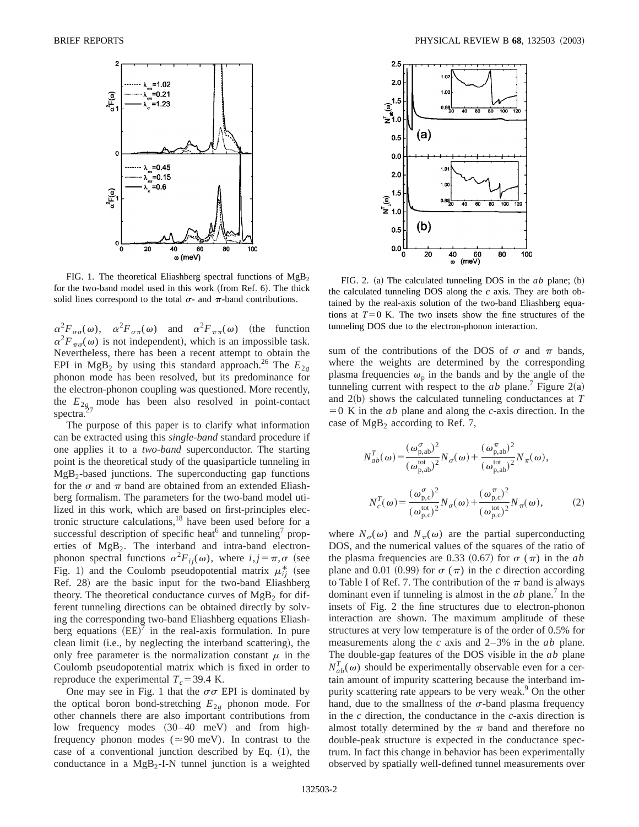

FIG. 1. The theoretical Eliashberg spectral functions of  $MgB<sub>2</sub>$ for the two-band model used in this work (from Ref. 6). The thick solid lines correspond to the total  $\sigma$ - and  $\pi$ -band contributions.

 $\alpha^2 F_{\sigma\sigma}(\omega)$ ,  $\alpha^2 F_{\sigma\pi}(\omega)$  and  $\alpha^2 F_{\pi\pi}(\omega)$  (the function  $\alpha^2 F_{\pi\alpha}(\omega)$  is not independent), which is an impossible task. Nevertheless, there has been a recent attempt to obtain the EPI in MgB<sub>2</sub> by using this standard approach.<sup>26</sup> The  $E_{2g}$ phonon mode has been resolved, but its predominance for the electron-phonon coupling was questioned. More recently, the  $E_{2g_7}$  mode has been also resolved in point-contact spectra.

The purpose of this paper is to clarify what information can be extracted using this *single-band* standard procedure if one applies it to a *two-band* superconductor. The starting point is the theoretical study of the quasiparticle tunneling in  $MgB<sub>2</sub>$ -based junctions. The superconducting gap functions for the  $\sigma$  and  $\pi$  band are obtained from an extended Eliashberg formalism. The parameters for the two-band model utilized in this work, which are based on first-principles electronic structure calculations, $18$  have been used before for a successful description of specific heat<sup>6</sup> and tunneling<sup>7</sup> properties of  $MgB<sub>2</sub>$ . The interband and intra-band electronphonon spectral functions  $\alpha^2 F_{ij}(\omega)$ , where  $i, j = \pi, \sigma$  (see Fig. 1) and the Coulomb pseudopotential matrix  $\mu_{ij}^*$  (see Ref. 28) are the basic input for the two-band Eliashberg theory. The theoretical conductance curves of  $MgB<sub>2</sub>$  for different tunneling directions can be obtained directly by solving the corresponding two-band Eliashberg equations Eliashberg equations  $(EE)^7$  in the real-axis formulation. In pure clean limit (i.e., by neglecting the interband scattering), the only free parameter is the normalization constant  $\mu$  in the Coulomb pseudopotential matrix which is fixed in order to reproduce the experimental  $T_c$ =39.4 K.

One may see in Fig. 1 that the  $\sigma\sigma$  EPI is dominated by the optical boron bond-stretching  $E_{2g}$  phonon mode. For other channels there are also important contributions from low frequency modes  $(30-40 \text{ meV})$  and from highfrequency phonon modes ( $\simeq 90$  meV). In contrast to the case of a conventional junction described by Eq.  $(1)$ , the conductance in a  $MgB_2-I-N$  tunnel junction is a weighted



FIG. 2. (a) The calculated tunneling DOS in the  $ab$  plane; (b) the calculated tunneling DOS along the *c* axis. They are both obtained by the real-axis solution of the two-band Eliashberg equations at  $T=0$  K. The two insets show the fine structures of the tunneling DOS due to the electron-phonon interaction.

sum of the contributions of the DOS of  $\sigma$  and  $\pi$  bands, where the weights are determined by the corresponding plasma frequencies  $\omega_p$  in the bands and by the angle of the tunneling current with respect to the *ab* plane.<sup>7</sup> Figure 2(a) and 2(b) shows the calculated tunneling conductances at *T*  $=0$  K in the *ab* plane and along the *c*-axis direction. In the case of  $MgB<sub>2</sub>$  according to Ref. 7,

$$
N_{ab}^{T}(\omega) = \frac{(\omega_{\text{p,ab}}^{\sigma})^{2}}{(\omega_{\text{p,ab}}^{\text{tot}})^{2}} N_{\sigma}(\omega) + \frac{(\omega_{\text{p,ab}}^{\pi})^{2}}{(\omega_{\text{p,ab}}^{\text{tot}})^{2}} N_{\pi}(\omega),
$$

$$
N_{c}^{T}(\omega) = \frac{(\omega_{\text{p,c}}^{\sigma})^{2}}{(\omega_{\text{p,c}}^{\text{tot}})^{2}} N_{\sigma}(\omega) + \frac{(\omega_{\text{p,c}}^{\pi})^{2}}{(\omega_{\text{p,c}}^{\text{tot}})^{2}} N_{\pi}(\omega),
$$
(2)

where  $N_{\sigma}(\omega)$  and  $N_{\pi}(\omega)$  are the partial superconducting DOS, and the numerical values of the squares of the ratio of the plasma frequencies are 0.33  $(0.67)$  for  $\sigma(\pi)$  in the *ab* plane and 0.01 (0.99) for  $\sigma(\pi)$  in the *c* direction according to Table I of Ref. 7. The contribution of the  $\pi$  band is always dominant even if tunneling is almost in the  $ab$  plane.<sup>7</sup> In the insets of Fig. 2 the fine structures due to electron-phonon interaction are shown. The maximum amplitude of these structures at very low temperature is of the order of 0.5% for measurements along the *c* axis and 2–3% in the *ab* plane. The double-gap features of the DOS visible in the *ab* plane  $N_{ab}^T(\omega)$  should be experimentally observable even for a certain amount of impurity scattering because the interband impurity scattering rate appears to be very weak.<sup>9</sup> On the other hand, due to the smallness of the  $\sigma$ -band plasma frequency in the *c* direction, the conductance in the *c*-axis direction is almost totally determined by the  $\pi$  band and therefore no double-peak structure is expected in the conductance spectrum. In fact this change in behavior has been experimentally observed by spatially well-defined tunnel measurements over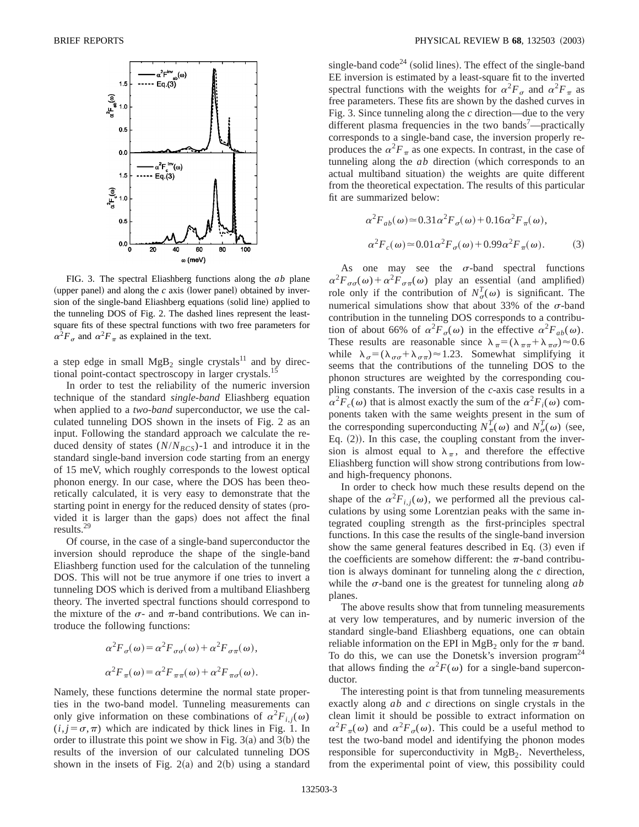

FIG. 3. The spectral Eliashberg functions along the *ab* plane (upper panel) and along the  $c$  axis (lower panel) obtained by inversion of the single-band Eliashberg equations (solid line) applied to the tunneling DOS of Fig. 2. The dashed lines represent the leastsquare fits of these spectral functions with two free parameters for  $\alpha^2 F_{\sigma}$  and  $\alpha^2 F_{\pi}$  as explained in the text.

a step edge in small  $MgB_2$  single crystals<sup>11</sup> and by directional point-contact spectroscopy in larger crystals.<sup>15</sup>

In order to test the reliability of the numeric inversion technique of the standard *single-band* Eliashberg equation when applied to a *two-band* superconductor, we use the calculated tunneling DOS shown in the insets of Fig. 2 as an input. Following the standard approach we calculate the reduced density of states  $(N/N_{BCS})$ -1 and introduce it in the standard single-band inversion code starting from an energy of 15 meV, which roughly corresponds to the lowest optical phonon energy. In our case, where the DOS has been theoretically calculated, it is very easy to demonstrate that the starting point in energy for the reduced density of states (provided it is larger than the gaps) does not affect the final results.29

Of course, in the case of a single-band superconductor the inversion should reproduce the shape of the single-band Eliashberg function used for the calculation of the tunneling DOS. This will not be true anymore if one tries to invert a tunneling DOS which is derived from a multiband Eliashberg theory. The inverted spectral functions should correspond to the mixture of the  $\sigma$ - and  $\pi$ -band contributions. We can introduce the following functions:

$$
\alpha^{2}F_{\sigma}(\omega) = \alpha^{2}F_{\sigma\sigma}(\omega) + \alpha^{2}F_{\sigma\pi}(\omega),
$$
  

$$
\alpha^{2}F_{\pi}(\omega) = \alpha^{2}F_{\pi\pi}(\omega) + \alpha^{2}F_{\pi\sigma}(\omega).
$$

Namely, these functions determine the normal state properties in the two-band model. Tunneling measurements can only give information on these combinations of  $\alpha^2 F_{i,j}(\omega)$  $(i, j = \sigma, \pi)$  which are indicated by thick lines in Fig. 1. In order to illustrate this point we show in Fig.  $3(a)$  and  $3(b)$  the results of the inversion of our calculated tunneling DOS shown in the insets of Fig.  $2(a)$  and  $2(b)$  using a standard single-band  $\text{code}^{24}$  (solid lines). The effect of the single-band EE inversion is estimated by a least-square fit to the inverted spectral functions with the weights for  $\alpha^2 F_{\sigma}$  and  $\alpha^2 F_{\pi}$  as free parameters. These fits are shown by the dashed curves in Fig. 3. Since tunneling along the *c* direction—due to the very different plasma frequencies in the two bands<sup>7</sup>—practically corresponds to a single-band case, the inversion properly reproduces the  $\alpha^2 F_{\pi}$  as one expects. In contrast, in the case of tunneling along the *ab* direction (which corresponds to an actual multiband situation) the weights are quite different from the theoretical expectation. The results of this particular fit are summarized below:

$$
\alpha^2 F_{ab}(\omega) \approx 0.31 \alpha^2 F_{\sigma}(\omega) + 0.16 \alpha^2 F_{\pi}(\omega),
$$
  

$$
\alpha^2 F_c(\omega) \approx 0.01 \alpha^2 F_{\sigma}(\omega) + 0.99 \alpha^2 F_{\pi}(\omega).
$$
 (3)

As one may see the  $\sigma$ -band spectral functions  $\alpha^2 F_{\sigma\sigma}(\omega) + \alpha^2 F_{\sigma\pi}(\omega)$  play an essential (and amplified) role only if the contribution of  $N^T_{\sigma}(\omega)$  is significant. The numerical simulations show that about 33% of the  $\sigma$ -band contribution in the tunneling DOS corresponds to a contribution of about 66% of  $\alpha^2 F_{\sigma}(\omega)$  in the effective  $\alpha^2 F_{ab}(\omega)$ . These results are reasonable since  $\lambda_{\pi} = (\lambda_{\pi\pi} + \lambda_{\pi\sigma}) \approx 0.6$ while  $\lambda_{\sigma} = (\lambda_{\sigma\sigma} + \lambda_{\sigma\pi}) \approx 1.23$ . Somewhat simplifying it seems that the contributions of the tunneling DOS to the phonon structures are weighted by the corresponding coupling constants. The inversion of the *c*-axis case results in a  $\alpha^2 F_c(\omega)$  that is almost exactly the sum of the  $\alpha^2 F_i(\omega)$  components taken with the same weights present in the sum of the corresponding superconducting  $N_{\pi}^{T}(\omega)$  and  $N_{\sigma}^{T}(\omega)$  (see, Eq.  $(2)$ ). In this case, the coupling constant from the inversion is almost equal to  $\lambda_{\pi}$ , and therefore the effective Eliashberg function will show strong contributions from lowand high-frequency phonons.

In order to check how much these results depend on the shape of the  $\alpha^2 F_{i,j}(\omega)$ , we performed all the previous calculations by using some Lorentzian peaks with the same integrated coupling strength as the first-principles spectral functions. In this case the results of the single-band inversion show the same general features described in Eq.  $(3)$  even if the coefficients are somehow different: the  $\pi$ -band contribution is always dominant for tunneling along the *c* direction, while the  $\sigma$ -band one is the greatest for tunneling along  $ab$ planes.

The above results show that from tunneling measurements at very low temperatures, and by numeric inversion of the standard single-band Eliashberg equations, one can obtain reliable information on the EPI in MgB<sub>2</sub> only for the  $\pi$  band. To do this, we can use the Donetsk's inversion program<sup>24</sup> that allows finding the  $\alpha^2 F(\omega)$  for a single-band superconductor.

The interesting point is that from tunneling measurements exactly along *ab* and *c* directions on single crystals in the clean limit it should be possible to extract information on  $\alpha^2 F_{\pi}(\omega)$  and  $\alpha^2 F_{\sigma}(\omega)$ . This could be a useful method to test the two-band model and identifying the phonon modes responsible for superconductivity in  $MgB<sub>2</sub>$ . Nevertheless, from the experimental point of view, this possibility could